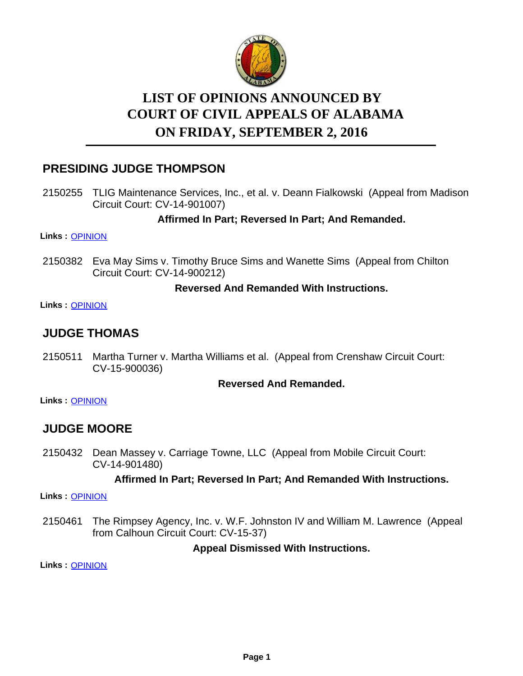

# **LIST OF OPINIONS ANNOUNCED BY ON FRIDAY, SEPTEMBER 2, 2016 COURT OF CIVIL APPEALS OF ALABAMA**

## **PRESIDING JUDGE THOMPSON**

2150255 TLIG Maintenance Services, Inc., et al. v. Deann Fialkowski (Appeal from Madison Circuit Court: CV-14-901007)

### **Affirmed In Part; Reversed In Part; And Remanded.**

**Links :** [OPINION](https://acis.alabama.gov/displaydocs.cfm?no=757208&event=4PY0JW7LP)

2150382 Eva May Sims v. Timothy Bruce Sims and Wanette Sims (Appeal from Chilton Circuit Court: CV-14-900212)

#### **Reversed And Remanded With Instructions.**

**Links :** [OPINION](https://acis.alabama.gov/displaydocs.cfm?no=757209&event=4PY0JW7SN)

### **JUDGE THOMAS**

2150511 Martha Turner v. Martha Williams et al. (Appeal from Crenshaw Circuit Court: CV-15-900036)

#### **Reversed And Remanded.**

**Links :** [OPINION](https://acis.alabama.gov/displaydocs.cfm?no=757213&event=4PY0JW8JH)

### **JUDGE MOORE**

2150432 Dean Massey v. Carriage Towne, LLC (Appeal from Mobile Circuit Court: CV-14-901480)

#### **Affirmed In Part; Reversed In Part; And Remanded With Instructions.**

**Links :** [OPINION](https://acis.alabama.gov/displaydocs.cfm?no=757210&event=4PY0JW7ZL)

The Rimpsey Agency, Inc. v. W.F. Johnston IV and William M. Lawrence (Appeal from Calhoun Circuit Court: CV-15-37) 2150461

**Appeal Dismissed With Instructions.**

**Links :** [OPINION](https://acis.alabama.gov/displaydocs.cfm?no=757211&event=4PY0JW863)